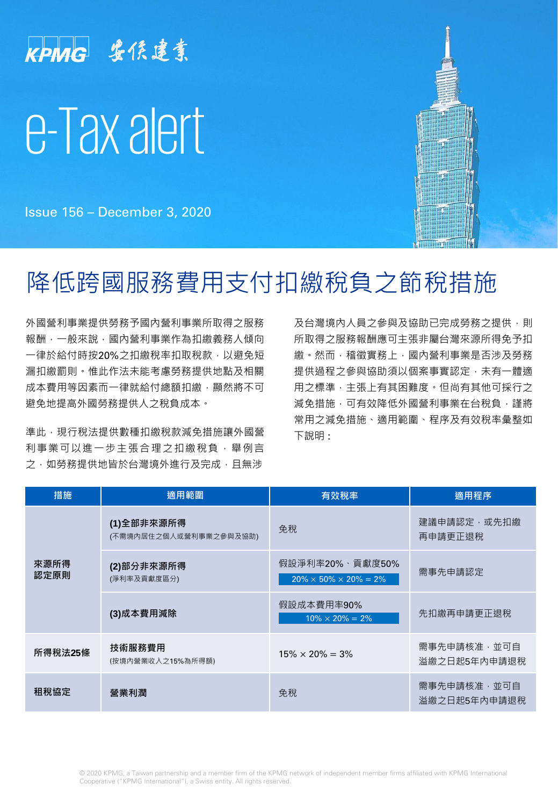

Issue 156 – December 3, 2020

# 降低跨國服務費用支付扣繳稅負之節稅措施

外國營利事業提供勞務予國內營利事業所取得之服務 報酬,一般來說,國內營利事業作為扣繳義務人傾向 一律於給付時按20%之扣繳稅率扣取稅款,以避免短 漏扣繳罰則。惟此作法未能考慮勞務提供地點及相關 成本費用等因素而一律就給付總額扣繳,顯然將不可 避免地提高外國勞務提供人之稅負成本。

準此,現行稅法提供數種扣繳稅款減免措施讓外國營 利事業可以進一步主張合理之扣繳稅負,舉例言 之,如勞務提供地皆於台灣境外進行及完成,且無涉

及台灣境內人員之參與及協助已完成勞務之提供,則 所取得之服務報酬應可主張非屬台灣來源所得免予扣 繳。然而,稽徵實務上,國內營利事業是否涉及勞務 提供過程之參與協助須以個案事實認定,未有一體適 用之標準,主張上有其困難度。但尚有其他可採行之 減免措施,可有效降低外國營利事業在台稅負,謹將 常用之減免措施、適用範圍、程序及有效稅率彙整如 下說明 :

| 措施           | 適用範圍                                 | 有效稅率                                                    | 適用程序                          |
|--------------|--------------------------------------|---------------------------------------------------------|-------------------------------|
| 來源所得<br>認定原則 | (1)全部非來源所得<br>(不需境内居住之個人或營利事業之參與及協助) | 免稅                                                      | 建議申請認定,或先扣繳<br>再申請更正狠稅        |
|              | (2)部分非來源所得<br>(淨利率及貢獻度區分)            | 假設淨利率20%、貢獻度50%<br>$20\% \times 50\% \times 20\% = 2\%$ | 需事先申請認定                       |
|              | (3)成本費用減除                            | 假設成本費用率90%<br>$10\% \times 20\% = 2\%$                  | 先扣繳再申請更正退稅                    |
| 所得稅法25條      | 技術服務費用<br>(按境内營業收入之15%為所得額)          | $15\% \times 20\% = 3\%$                                | 需事先申請核准 , 並可自<br>溢繳之日起5年內申請退稅 |
| 租稅協定         | 營業利潤                                 | 免稅                                                      | 需事先申請核准 , 並可自<br>溢繳之日起5年內申請退稅 |

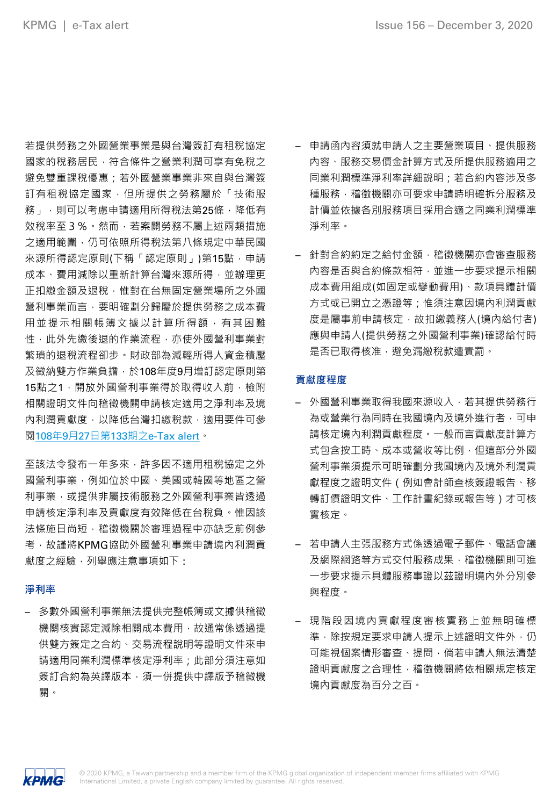若提供勞務之外國營業事業是與台灣簽訂有租稅協定 國家的稅務居民,符合條件之營業利潤可享有免稅之 避免雙重課稅優惠;若外國營業事業非來自與台灣簽 訂有租稅協定國家,但所提供之勞務屬於「技術服 務」,則可以考慮申請適用所得稅法第25條,降低有 效稅率至3%。然而,若案關勞務不屬上述兩類措施 之適用範圍,仍可依照所得稅法第八條規定中華民國 來源所得認定原則(下稱「認定原則」)第15點,申請 成本、費用減除以重新計算台灣來源所得,並辦理更 正扣繳金額及退稅,惟對在台無固定營業場所之外國 營利事業而言,要明確劃分歸屬於提供勞務之成本費 用並提示相關帳簿文據以計算所得額,有其困難 性,此外先繳後退的作業流程,亦使外國營利事業對 繁瑣的退稅流程卻步。財政部為減輕所得人資金積壓 及徵納雙方作業負擔,於108年度9月增訂認定原則第 15點之1,開放外國營利事業得於取得收入前,檢附 相關證明文件向稽徵機關申請核定適用之淨利率及境 內利潤貢獻度,以降低台灣扣繳稅款,適用要件可參 閱108年9月27日第133期之[e-Tax](https://home.kpmg/tw/zh/home/insights/2019/09/e-tax-alert-133.html) alert。

至該法令發布一年多來,許多因不適用租稅協定之外 國營利事業,例如位於中國、美國或韓國等地區之營 利事業,或提供非屬技術服務之外國營利事業皆透過 申請核定淨利率及貢獻度有效降低在台稅負。惟因該 法條施日尚短,稽徵機關於審理過程中亦缺乏前例參 考,故謹將KPMG協助外國營利事業申請境內利潤貢 獻度之經驗,列舉應注意事項如下:

### **淨利率**

– 多數外國營利事業無法提供完整帳簿或文據供稽徵 機關核實認定減除相關成本費用,故通常係透過提 供雙方簽定之合約、交易流程說明等證明文件來申 請適用同業利潤標準核定淨利率;此部分須注意如 簽訂合約為英譯版本,須一併提供中譯版予稽徵機 關。

- 申請函內容須就申請人之主要營業項目、提供服務 內容、服務交易價金計算方式及所提供服務適用之 同業利潤標準淨利率詳細說明;若合約內容涉及多 種服務,稽徵機關亦可要求申請時明確拆分服務及 計價並依據各別服務項目採用合適之同業利潤標準 淨利率。
- 針對合約約定之給付金額,稽徵機關亦會審查服務 內容是否與合約條款相符,並進一步要求提示相關 成本費用組成(如固定或變動費用)、款項具體計價 方式或已開立之憑證等;惟須注意因境內利潤貢獻 度是屬事前申請核定,故扣繳義務人(境內給付者) 應與申請人(提供勞務之外國營利事業)確認給付時 是否已取得核准,避免漏繳稅款遭責罰。

### **貢獻度程度**

- 外國營利事業取得我國來源收入,若其提供勞務行 為或營業行為同時在我國境內及境外進行者,可申 請核定境內利潤貢獻程度。一般而言貢獻度計算方 式包含按工時、成本或營收等比例,但這部分外國 營利事業須提示可明確劃分我國境內及境外利潤貢 獻程度之證明文件(例如會計師查核簽證報告、移 轉訂價證明文件、工作計畫紀錄或報告等)才可核 實核定。
- 若申請人主張服務方式係透過電子郵件、電話會議 及網際網路等方式交付服務成果,稽徵機關則可進 一步要求提示具體服務事證以茲證明境內外分別參 與程度。
- 現階段因境內貢獻程度審核實務上並無明確標 準,除按規定要求申請人提示上述證明文件外,仍 可能視個案情形審查、提問,倘若申請人無法清楚 證明貢獻度之合理性,稽徵機關將依相關規定核定 境內貢獻度為百分之百。

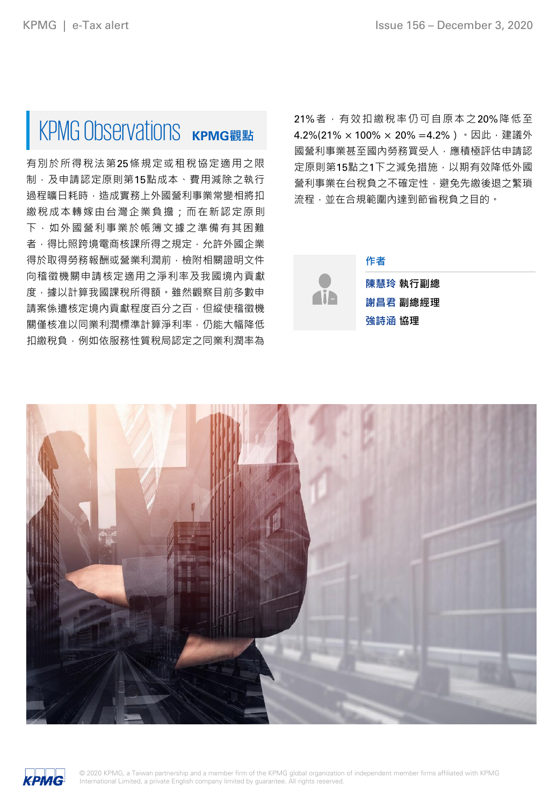# KPMG Observations KPMG觀點

有別於所得稅法第25條規定或租稅協定適用之限 制,及申請認定原則第15點成本、費用減除之執行 過程曠日耗時,造成實務上外國營利事業常變相將扣 繳稅成本轉嫁由台灣企業負擔;而在新認定原則 下,如外國營利事業於帳簿文據之準備有其困難 者,得比照跨境電商核課所得之規定,允許外國企業 得於取得勞務報酬或營業利潤前,檢附相關證明文件 向稽徵機關申請核定適用之淨利率及我國境內貢獻 度,據以計算我國課稅所得額。雖然觀察目前多數申 請案係遭核定境內貢獻程度百分之百,但縱使稽徵機 關僅核准以同業利潤標準計算淨利率,仍能大幅降低 扣繳稅負,例如依服務性質稅局認定之同業利潤率為

21%者,有效扣繳稅率仍可自原本之20%降低至 4.2%(21% × 100% × 20% = 4.2%) · 因此, 建議外 國營利事業甚至國內勞務買受人,應積極評估申請認 定原則第15點之1下之減免措施,以期有效降低外國 營利事業在台稅負之不確定性,避免先繳後退之繁瑣 流程,並在合規範圍內達到節省稅負之目的。



**陳慧玲 執行副總 謝昌君 副總經理 強詩涵 協理**

**作者**